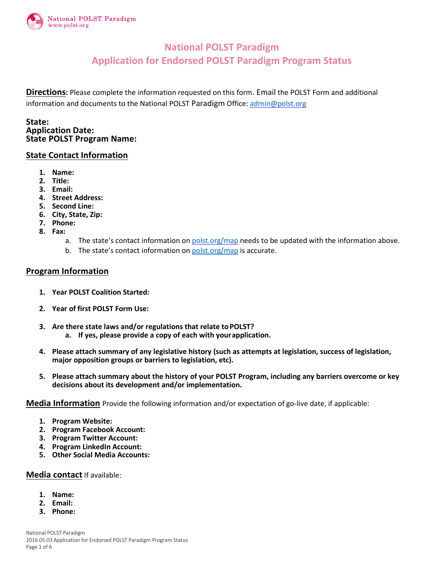

## **National POLST Paradigm Application for Endorsed POLST Paradigm Program Status**

**Directions:** Please complete the information requested on this form. Email the POLST Form and additional information and documents to the National POLST Paradigm Office: [admin@polst.org](mailto:admin@polst.org)

**State: Application Date: State POLST Program Name:**

#### **State Contact Information**

- **1. Name:**
- **2. Title:**
- **3. Email:**
- **4. Street Address:**
- **5. Second Line:**
- **6. City, State, Zip:**
- **7. Phone:**
- **8. Fax:**
	- a. The state's contact information o[n polst.org/map](http://polst.org/programs-in-your-state/?pro=1) needs to be updated with the information above.
	- b. The state's contact information o[n polst.org/map](http://polst.org/programs-in-your-state/?pro=1) is accurate.

#### **Program Information**

- **1. Year POLST Coalition Started:**
- **2. Year of first POLST Form Use:**
- **3. Are there state laws and/or regulations that relate toPOLST?**
	- **a. If yes, please provide a copy of each with yourapplication.**
- **4. Please attach summary of any legislative history (such as attempts at legislation, success of legislation, major opposition groups or barriers to legislation, etc).**
- **5. Please attach summary about the history of your POLST Program, including any barriers overcome or key decisions about its development and/or implementation.**

**Media Information** Provide the following information and/or expectation of go-live date, if applicable:

- **1. Program Website:**
- **2. Program Facebook Account:**
- **3. Program Twitter Account:**
- **4. Program LinkedIn Account:**
- **5. Other Social Media Accounts:**

#### **Media contact** If available:

- **1. Name:**
- **2. Email:**
- **3. Phone:**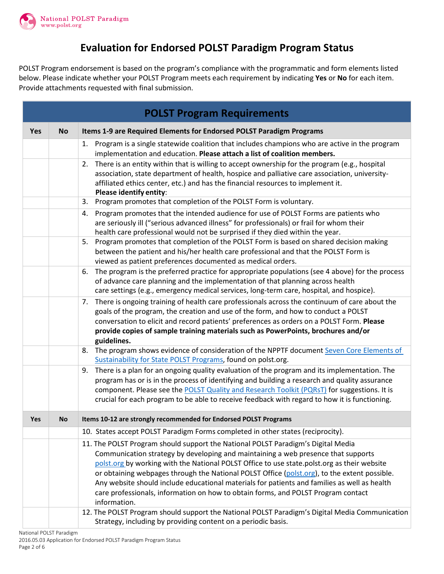

# **Evaluation for Endorsed POLST Paradigm Program Status**

POLST Program endorsement is based on the program's compliance with the programmatic and form elements listed below. Please indicate whether your POLST Program meets each requirement by indicating **Yes** or **No** for each item. Provide attachments requested with final submission.

|            | <b>POLST Program Requirements</b> |                                                                                                                                                                                                                                                                                                                                                                                                                                                                                                                                                                           |  |  |  |
|------------|-----------------------------------|---------------------------------------------------------------------------------------------------------------------------------------------------------------------------------------------------------------------------------------------------------------------------------------------------------------------------------------------------------------------------------------------------------------------------------------------------------------------------------------------------------------------------------------------------------------------------|--|--|--|
| <b>Yes</b> | <b>No</b>                         | Items 1-9 are Required Elements for Endorsed POLST Paradigm Programs                                                                                                                                                                                                                                                                                                                                                                                                                                                                                                      |  |  |  |
|            |                                   | 1. Program is a single statewide coalition that includes champions who are active in the program<br>implementation and education. Please attach a list of coalition members.                                                                                                                                                                                                                                                                                                                                                                                              |  |  |  |
|            |                                   | There is an entity within that is willing to accept ownership for the program (e.g., hospital<br>2.<br>association, state department of health, hospice and palliative care association, university-<br>affiliated ethics center, etc.) and has the financial resources to implement it.<br>Please identify entity:                                                                                                                                                                                                                                                       |  |  |  |
|            |                                   | Program promotes that completion of the POLST Form is voluntary.<br>3.                                                                                                                                                                                                                                                                                                                                                                                                                                                                                                    |  |  |  |
|            |                                   | Program promotes that the intended audience for use of POLST Forms are patients who<br>4.<br>are seriously ill ("serious advanced illness" for professionals) or frail for whom their<br>health care professional would not be surprised if they died within the year.                                                                                                                                                                                                                                                                                                    |  |  |  |
|            |                                   | Program promotes that completion of the POLST Form is based on shared decision making<br>5.<br>between the patient and his/her health care professional and that the POLST Form is<br>viewed as patient preferences documented as medical orders.                                                                                                                                                                                                                                                                                                                         |  |  |  |
|            |                                   | The program is the preferred practice for appropriate populations (see 4 above) for the process<br>6.<br>of advance care planning and the implementation of that planning across health<br>care settings (e.g., emergency medical services, long-term care, hospital, and hospice).                                                                                                                                                                                                                                                                                       |  |  |  |
|            |                                   | 7. There is ongoing training of health care professionals across the continuum of care about the<br>goals of the program, the creation and use of the form, and how to conduct a POLST<br>conversation to elicit and record patients' preferences as orders on a POLST Form. Please<br>provide copies of sample training materials such as PowerPoints, brochures and/or<br>guidelines.                                                                                                                                                                                   |  |  |  |
|            |                                   | The program shows evidence of consideration of the NPPTF document Seven Core Elements of<br>8.<br>Sustainability for State POLST Programs, found on polst.org.                                                                                                                                                                                                                                                                                                                                                                                                            |  |  |  |
|            |                                   | 9. There is a plan for an ongoing quality evaluation of the program and its implementation. The<br>program has or is in the process of identifying and building a research and quality assurance<br>component. Please see the POLST Quality and Research Toolkit (PQRsT) for suggestions. It is<br>crucial for each program to be able to receive feedback with regard to how it is functioning.                                                                                                                                                                          |  |  |  |
| <b>Yes</b> | <b>No</b>                         | Items 10-12 are strongly recommended for Endorsed POLST Programs                                                                                                                                                                                                                                                                                                                                                                                                                                                                                                          |  |  |  |
|            |                                   | 10. States accept POLST Paradigm Forms completed in other states (reciprocity).                                                                                                                                                                                                                                                                                                                                                                                                                                                                                           |  |  |  |
|            |                                   | 11. The POLST Program should support the National POLST Paradigm's Digital Media<br>Communication strategy by developing and maintaining a web presence that supports<br>polst.org by working with the National POLST Office to use state.polst.org as their website<br>or obtaining webpages through the National POLST Office (polst.org), to the extent possible.<br>Any website should include educational materials for patients and families as well as health<br>care professionals, information on how to obtain forms, and POLST Program contact<br>information. |  |  |  |
|            |                                   | 12. The POLST Program should support the National POLST Paradigm's Digital Media Communication<br>Strategy, including by providing content on a periodic basis.                                                                                                                                                                                                                                                                                                                                                                                                           |  |  |  |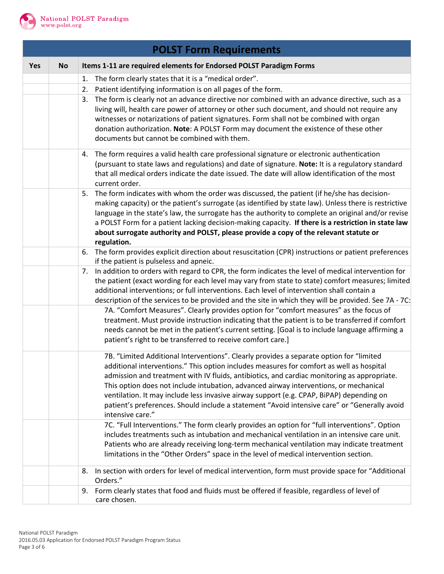

|     | <b>POLST Form Requirements</b> |                                                                                                                                                                                                  |  |  |  |
|-----|--------------------------------|--------------------------------------------------------------------------------------------------------------------------------------------------------------------------------------------------|--|--|--|
| Yes | <b>No</b>                      | Items 1-11 are required elements for Endorsed POLST Paradigm Forms                                                                                                                               |  |  |  |
|     |                                | The form clearly states that it is a "medical order".<br>1.                                                                                                                                      |  |  |  |
|     |                                | Patient identifying information is on all pages of the form.<br>2.                                                                                                                               |  |  |  |
|     |                                | The form is clearly not an advance directive nor combined with an advance directive, such as a<br>3.                                                                                             |  |  |  |
|     |                                | living will, health care power of attorney or other such document, and should not require any                                                                                                    |  |  |  |
|     |                                | witnesses or notarizations of patient signatures. Form shall not be combined with organ                                                                                                          |  |  |  |
|     |                                | donation authorization. Note: A POLST Form may document the existence of these other                                                                                                             |  |  |  |
|     |                                | documents but cannot be combined with them.                                                                                                                                                      |  |  |  |
|     |                                | The form requires a valid health care professional signature or electronic authentication<br>4.                                                                                                  |  |  |  |
|     |                                | (pursuant to state laws and regulations) and date of signature. Note: It is a regulatory standard                                                                                                |  |  |  |
|     |                                | that all medical orders indicate the date issued. The date will allow identification of the most<br>current order.                                                                               |  |  |  |
|     |                                | The form indicates with whom the order was discussed, the patient (if he/she has decision-<br>5.                                                                                                 |  |  |  |
|     |                                | making capacity) or the patient's surrogate (as identified by state law). Unless there is restrictive                                                                                            |  |  |  |
|     |                                | language in the state's law, the surrogate has the authority to complete an original and/or revise                                                                                               |  |  |  |
|     |                                | a POLST Form for a patient lacking decision-making capacity. If there is a restriction in state law                                                                                              |  |  |  |
|     |                                | about surrogate authority and POLST, please provide a copy of the relevant statute or<br>regulation.                                                                                             |  |  |  |
|     |                                | The form provides explicit direction about resuscitation (CPR) instructions or patient preferences<br>6.                                                                                         |  |  |  |
|     |                                | if the patient is pulseless and apneic.                                                                                                                                                          |  |  |  |
|     |                                | In addition to orders with regard to CPR, the form indicates the level of medical intervention for<br>7.                                                                                         |  |  |  |
|     |                                | the patient (exact wording for each level may vary from state to state) comfort measures; limited<br>additional interventions; or full interventions. Each level of intervention shall contain a |  |  |  |
|     |                                | description of the services to be provided and the site in which they will be provided. See 7A - 7C:                                                                                             |  |  |  |
|     |                                | 7A. "Comfort Measures". Clearly provides option for "comfort measures" as the focus of                                                                                                           |  |  |  |
|     |                                | treatment. Must provide instruction indicating that the patient is to be transferred if comfort                                                                                                  |  |  |  |
|     |                                | needs cannot be met in the patient's current setting. [Goal is to include language affirming a                                                                                                   |  |  |  |
|     |                                | patient's right to be transferred to receive comfort care.]                                                                                                                                      |  |  |  |
|     |                                | 7B. "Limited Additional Interventions". Clearly provides a separate option for "limited                                                                                                          |  |  |  |
|     |                                | additional interventions." This option includes measures for comfort as well as hospital                                                                                                         |  |  |  |
|     |                                | admission and treatment with IV fluids, antibiotics, and cardiac monitoring as appropriate.                                                                                                      |  |  |  |
|     |                                | This option does not include intubation, advanced airway interventions, or mechanical                                                                                                            |  |  |  |
|     |                                | ventilation. It may include less invasive airway support (e.g. CPAP, BiPAP) depending on                                                                                                         |  |  |  |
|     |                                | patient's preferences. Should include a statement "Avoid intensive care" or "Generally avoid<br>intensive care."                                                                                 |  |  |  |
|     |                                | 7C. "Full Interventions." The form clearly provides an option for "full interventions". Option                                                                                                   |  |  |  |
|     |                                | includes treatments such as intubation and mechanical ventilation in an intensive care unit.                                                                                                     |  |  |  |
|     |                                | Patients who are already receiving long-term mechanical ventilation may indicate treatment                                                                                                       |  |  |  |
|     |                                | limitations in the "Other Orders" space in the level of medical intervention section.                                                                                                            |  |  |  |
|     |                                | In section with orders for level of medical intervention, form must provide space for "Additional<br>8.                                                                                          |  |  |  |
|     |                                | Orders."<br>Form clearly states that food and fluids must be offered if feasible, regardless of level of                                                                                         |  |  |  |
|     |                                | 9.<br>care chosen.                                                                                                                                                                               |  |  |  |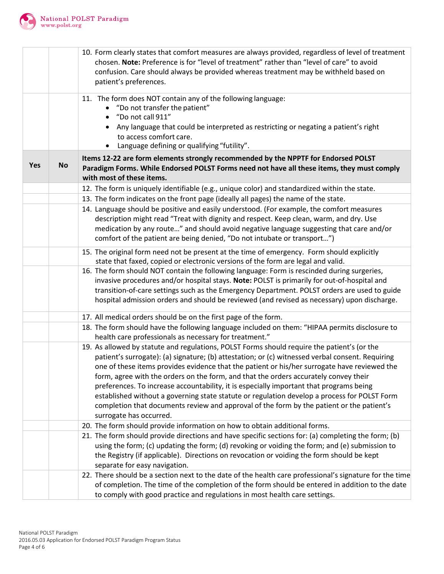

|     |           | 10. Form clearly states that comfort measures are always provided, regardless of level of treatment<br>chosen. Note: Preference is for "level of treatment" rather than "level of care" to avoid<br>confusion. Care should always be provided whereas treatment may be withheld based on<br>patient's preferences.                                                                                                                                                                                                                                                                                                                                                                                         |  |
|-----|-----------|------------------------------------------------------------------------------------------------------------------------------------------------------------------------------------------------------------------------------------------------------------------------------------------------------------------------------------------------------------------------------------------------------------------------------------------------------------------------------------------------------------------------------------------------------------------------------------------------------------------------------------------------------------------------------------------------------------|--|
|     |           | 11. The form does NOT contain any of the following language:<br>"Do not transfer the patient"<br>"Do not call 911"<br>Any language that could be interpreted as restricting or negating a patient's right<br>$\bullet$<br>to access comfort care.<br>Language defining or qualifying "futility".<br>$\bullet$                                                                                                                                                                                                                                                                                                                                                                                              |  |
| Yes | <b>No</b> | Items 12-22 are form elements strongly recommended by the NPPTF for Endorsed POLST<br>Paradigm Forms. While Endorsed POLST Forms need not have all these items, they must comply<br>with most of these items.                                                                                                                                                                                                                                                                                                                                                                                                                                                                                              |  |
|     |           | 12. The form is uniquely identifiable (e.g., unique color) and standardized within the state.                                                                                                                                                                                                                                                                                                                                                                                                                                                                                                                                                                                                              |  |
|     |           | 13. The form indicates on the front page (ideally all pages) the name of the state.                                                                                                                                                                                                                                                                                                                                                                                                                                                                                                                                                                                                                        |  |
|     |           | 14. Language should be positive and easily understood. (For example, the comfort measures<br>description might read "Treat with dignity and respect. Keep clean, warm, and dry. Use<br>medication by any route" and should avoid negative language suggesting that care and/or<br>comfort of the patient are being denied, "Do not intubate or transport")                                                                                                                                                                                                                                                                                                                                                 |  |
|     |           | 15. The original form need not be present at the time of emergency. Form should explicitly<br>state that faxed, copied or electronic versions of the form are legal and valid.                                                                                                                                                                                                                                                                                                                                                                                                                                                                                                                             |  |
|     |           | 16. The form should NOT contain the following language: Form is rescinded during surgeries,<br>invasive procedures and/or hospital stays. Note: POLST is primarily for out-of-hospital and<br>transition-of-care settings such as the Emergency Department. POLST orders are used to guide<br>hospital admission orders and should be reviewed (and revised as necessary) upon discharge.                                                                                                                                                                                                                                                                                                                  |  |
|     |           | 17. All medical orders should be on the first page of the form.                                                                                                                                                                                                                                                                                                                                                                                                                                                                                                                                                                                                                                            |  |
|     |           | 18. The form should have the following language included on them: "HIPAA permits disclosure to<br>health care professionals as necessary for treatment."                                                                                                                                                                                                                                                                                                                                                                                                                                                                                                                                                   |  |
|     |           | 19. As allowed by statute and regulations, POLST Forms should require the patient's (or the<br>patient's surrogate): (a) signature; (b) attestation; or (c) witnessed verbal consent. Requiring<br>one of these items provides evidence that the patient or his/her surrogate have reviewed the<br>form, agree with the orders on the form, and that the orders accurately convey their<br>preferences. To increase accountability, it is especially important that programs being<br>established without a governing state statute or regulation develop a process for POLST Form<br>completion that documents review and approval of the form by the patient or the patient's<br>surrogate has occurred. |  |
|     |           | 20. The form should provide information on how to obtain additional forms.                                                                                                                                                                                                                                                                                                                                                                                                                                                                                                                                                                                                                                 |  |
|     |           | 21. The form should provide directions and have specific sections for: (a) completing the form; (b)<br>using the form; (c) updating the form; (d) revoking or voiding the form; and (e) submission to<br>the Registry (if applicable). Directions on revocation or voiding the form should be kept<br>separate for easy navigation.                                                                                                                                                                                                                                                                                                                                                                        |  |
|     |           | 22. There should be a section next to the date of the health care professional's signature for the time<br>of completion. The time of the completion of the form should be entered in addition to the date<br>to comply with good practice and regulations in most health care settings.                                                                                                                                                                                                                                                                                                                                                                                                                   |  |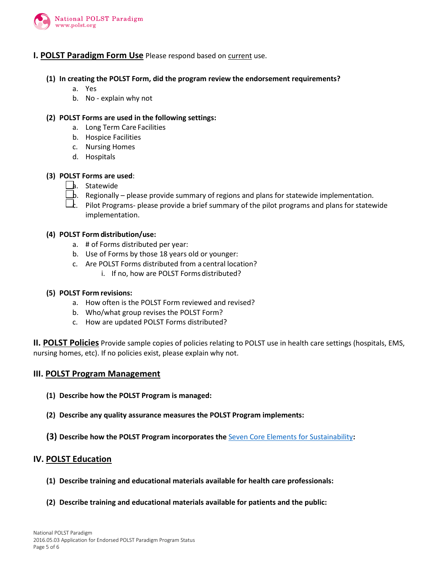

#### **I. POLST Paradigm Form Use** Please respond based on current use.

- **(1) In creating the POLST Form, did the program review the endorsement requirements?**
	- a. Yes
	- b. No explain why not

#### **(2) POLST Forms are used in the following settings:**

- a. Long Term Care Facilities
- b. Hospice Facilities
- c. Nursing Homes
- d. Hospitals

#### **(3) POLST Forms are used**:

- **b.** Statewide
- $\Box$ b. Regionally please provide summary of regions and plans for statewide implementation.
- $\overline{\Box}$ . Pilot Programs- please provide a brief summary of the pilot programs and plans for statewide implementation.

#### **(4) POLST Form distribution/use:**

- a. # of Forms distributed per year:
- b. Use of Forms by those 18 years old or younger:
- c. Are POLST Forms distributed from a central location?
	- i. If no, how are POLST Forms distributed?

#### **(5) POLST Form revisions:**

- a. How often is the POLST Form reviewed and revised?
- b. Who/what group revises the POLST Form?
- c. How are updated POLST Forms distributed?

**II. POLST Policies** Provide sample copies of policies relating to POLST use in health care settings (hospitals, EMS, nursing homes, etc). If no policies exist, please explain why not.

#### **III. POLST Program Management**

- **(1) Describe how the POLST Program is managed:**
- **(2) Describe any quality assurance measures the POLST Program implements:**
- **(3) Describe how the POLST Program incorporates the** [Seven Core Elements for Sustainability](http://polst.org/implementation-steps-and-materials/)**:**

#### **IV. POLST Education**

- **(1) Describe training and educational materials available for health care professionals:**
- **(2) Describe training and educational materials available for patients and the public:**